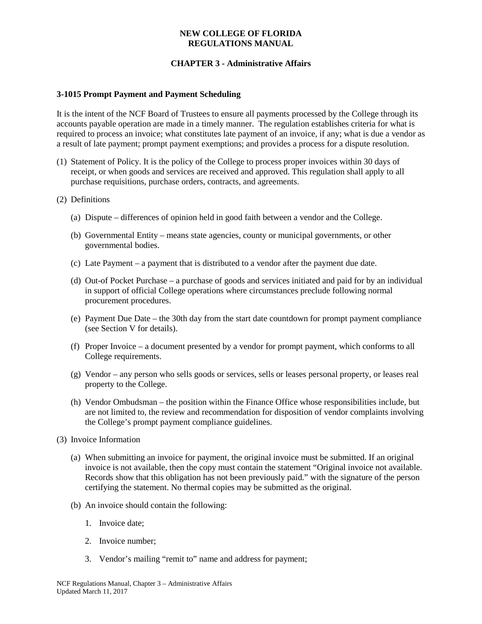# **CHAPTER 3 - Administrative Affairs**

### **3-1015 Prompt Payment and Payment Scheduling**

It is the intent of the NCF Board of Trustees to ensure all payments processed by the College through its accounts payable operation are made in a timely manner. The regulation establishes criteria for what is required to process an invoice; what constitutes late payment of an invoice, if any; what is due a vendor as a result of late payment; prompt payment exemptions; and provides a process for a dispute resolution.

- (1) Statement of Policy. It is the policy of the College to process proper invoices within 30 days of receipt, or when goods and services are received and approved. This regulation shall apply to all purchase requisitions, purchase orders, contracts, and agreements.
- (2) Definitions
	- (a) Dispute differences of opinion held in good faith between a vendor and the College.
	- (b) Governmental Entity means state agencies, county or municipal governments, or other governmental bodies.
	- (c) Late Payment a payment that is distributed to a vendor after the payment due date.
	- (d) Out-of Pocket Purchase a purchase of goods and services initiated and paid for by an individual in support of official College operations where circumstances preclude following normal procurement procedures.
	- (e) Payment Due Date the 30th day from the start date countdown for prompt payment compliance (see Section V for details).
	- (f) Proper Invoice a document presented by a vendor for prompt payment, which conforms to all College requirements.
	- (g) Vendor any person who sells goods or services, sells or leases personal property, or leases real property to the College.
	- (h) Vendor Ombudsman the position within the Finance Office whose responsibilities include, but are not limited to, the review and recommendation for disposition of vendor complaints involving the College's prompt payment compliance guidelines.
- (3) Invoice Information
	- (a) When submitting an invoice for payment, the original invoice must be submitted. If an original invoice is not available, then the copy must contain the statement "Original invoice not available. Records show that this obligation has not been previously paid." with the signature of the person certifying the statement. No thermal copies may be submitted as the original.
	- (b) An invoice should contain the following:
		- 1. Invoice date;
		- 2. Invoice number;
		- 3. Vendor's mailing "remit to" name and address for payment;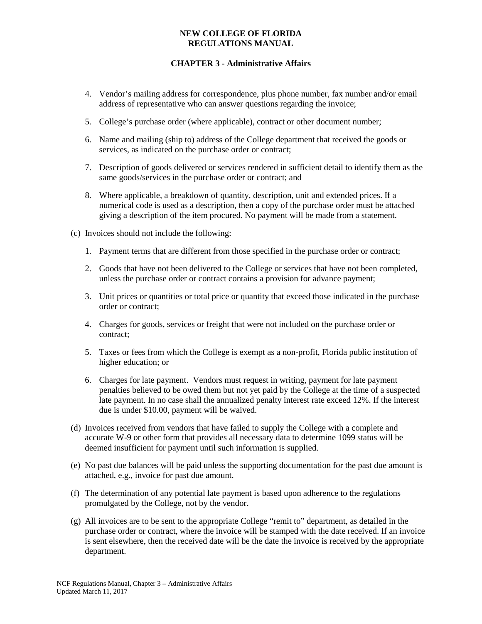# **CHAPTER 3 - Administrative Affairs**

- 4. Vendor's mailing address for correspondence, plus phone number, fax number and/or email address of representative who can answer questions regarding the invoice;
- 5. College's purchase order (where applicable), contract or other document number;
- 6. Name and mailing (ship to) address of the College department that received the goods or services, as indicated on the purchase order or contract;
- 7. Description of goods delivered or services rendered in sufficient detail to identify them as the same goods/services in the purchase order or contract; and
- 8. Where applicable, a breakdown of quantity, description, unit and extended prices. If a numerical code is used as a description, then a copy of the purchase order must be attached giving a description of the item procured. No payment will be made from a statement.
- (c) Invoices should not include the following:
	- 1. Payment terms that are different from those specified in the purchase order or contract;
	- 2. Goods that have not been delivered to the College or services that have not been completed, unless the purchase order or contract contains a provision for advance payment;
	- 3. Unit prices or quantities or total price or quantity that exceed those indicated in the purchase order or contract;
	- 4. Charges for goods, services or freight that were not included on the purchase order or contract;
	- 5. Taxes or fees from which the College is exempt as a non-profit, Florida public institution of higher education; or
	- 6. Charges for late payment. Vendors must request in writing, payment for late payment penalties believed to be owed them but not yet paid by the College at the time of a suspected late payment. In no case shall the annualized penalty interest rate exceed 12%. If the interest due is under \$10.00, payment will be waived.
- (d) Invoices received from vendors that have failed to supply the College with a complete and accurate W-9 or other form that provides all necessary data to determine 1099 status will be deemed insufficient for payment until such information is supplied.
- (e) No past due balances will be paid unless the supporting documentation for the past due amount is attached, e.g., invoice for past due amount.
- (f) The determination of any potential late payment is based upon adherence to the regulations promulgated by the College, not by the vendor.
- (g) All invoices are to be sent to the appropriate College "remit to" department, as detailed in the purchase order or contract, where the invoice will be stamped with the date received. If an invoice is sent elsewhere, then the received date will be the date the invoice is received by the appropriate department.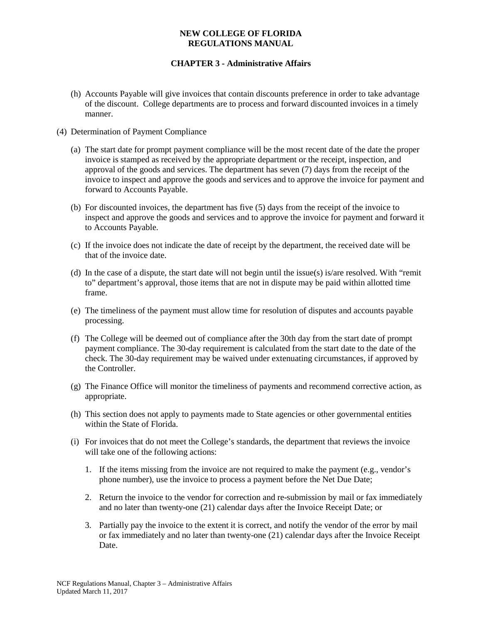# **CHAPTER 3 - Administrative Affairs**

- (h) Accounts Payable will give invoices that contain discounts preference in order to take advantage of the discount. College departments are to process and forward discounted invoices in a timely manner.
- (4) Determination of Payment Compliance
	- (a) The start date for prompt payment compliance will be the most recent date of the date the proper invoice is stamped as received by the appropriate department or the receipt, inspection, and approval of the goods and services. The department has seven (7) days from the receipt of the invoice to inspect and approve the goods and services and to approve the invoice for payment and forward to Accounts Payable.
	- (b) For discounted invoices, the department has five (5) days from the receipt of the invoice to inspect and approve the goods and services and to approve the invoice for payment and forward it to Accounts Payable.
	- (c) If the invoice does not indicate the date of receipt by the department, the received date will be that of the invoice date.
	- (d) In the case of a dispute, the start date will not begin until the issue(s) is/are resolved. With "remit to" department's approval, those items that are not in dispute may be paid within allotted time frame.
	- (e) The timeliness of the payment must allow time for resolution of disputes and accounts payable processing.
	- (f) The College will be deemed out of compliance after the 30th day from the start date of prompt payment compliance. The 30-day requirement is calculated from the start date to the date of the check. The 30-day requirement may be waived under extenuating circumstances, if approved by the Controller.
	- (g) The Finance Office will monitor the timeliness of payments and recommend corrective action, as appropriate.
	- (h) This section does not apply to payments made to State agencies or other governmental entities within the State of Florida.
	- (i) For invoices that do not meet the College's standards, the department that reviews the invoice will take one of the following actions:
		- 1. If the items missing from the invoice are not required to make the payment (e.g., vendor's phone number), use the invoice to process a payment before the Net Due Date;
		- 2. Return the invoice to the vendor for correction and re-submission by mail or fax immediately and no later than twenty-one (21) calendar days after the Invoice Receipt Date; or
		- 3. Partially pay the invoice to the extent it is correct, and notify the vendor of the error by mail or fax immediately and no later than twenty-one (21) calendar days after the Invoice Receipt Date.